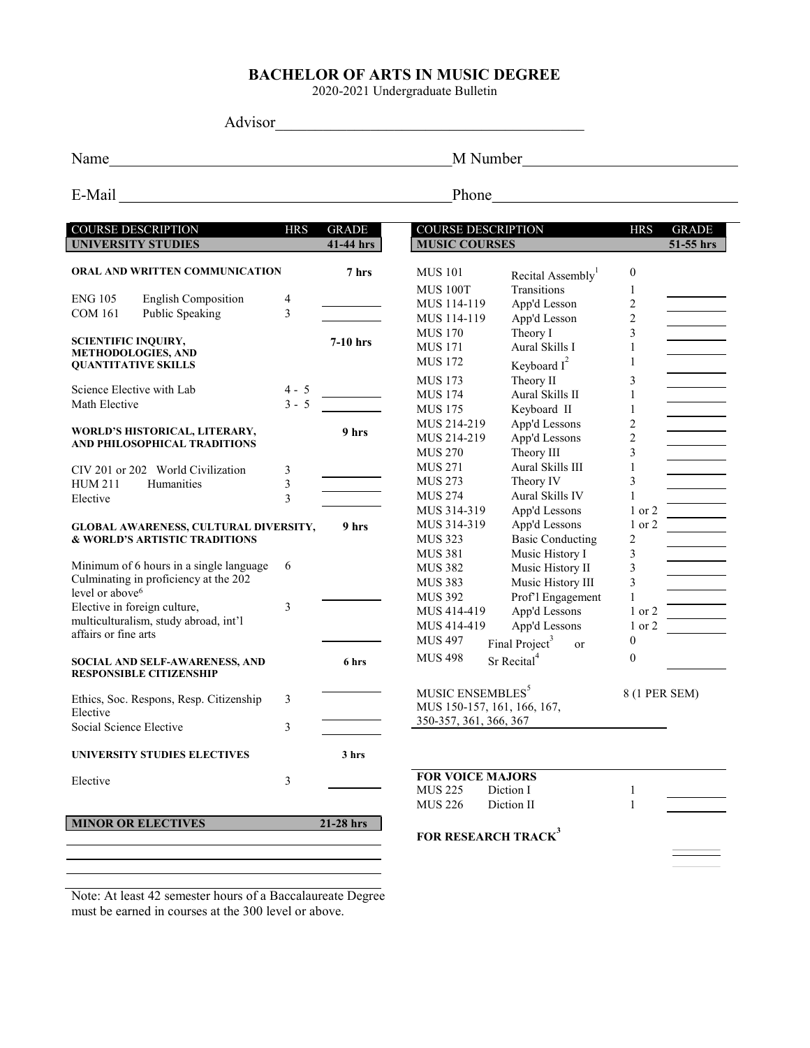# BACHELOR OF ARTS IN MUSIC DEGREE

2020-2021 Undergraduate Bulletin

Advisor\_\_\_\_\_\_\_\_\_\_\_\_\_\_\_\_\_\_\_\_\_\_\_\_\_\_\_\_\_\_\_\_\_\_\_\_\_\_\_

Name
M Number
M Number
M Number
M Number
M Number
M Number
M Number
M Number
M Number
M Number
M Number
M Number
M Number
M Number
M Number
M Number
M Number
M Number
M Number
M Number
M Number
M Number
M Number
M Number
M

E-Mail Phone Phone Phone Phone Phone Phone Phone Phone Phone Phone Phone Phone Phone Phone Phone Phone Phone Phone Phone Phone Phone Phone Phone Phone Phone Phone Phone Phone Phone Phone Phone Phone Phone Phone Phone Phone

| <b>COURSE DESCRIPTION</b><br><b>UNIVERSITY STUDIES</b>                        | <b>HRS</b> | <b>GRADE</b><br>41-44 hrs | <b>COURSE DESCRIPTION</b><br><b>MUSIC COURSES</b> |                                             | <b>HRS</b>     | <b>GRADE</b><br>51-55 hrs |
|-------------------------------------------------------------------------------|------------|---------------------------|---------------------------------------------------|---------------------------------------------|----------------|---------------------------|
|                                                                               |            |                           |                                                   |                                             |                |                           |
| ORAL AND WRITTEN COMMUNICATION                                                |            | 7 hrs                     | <b>MUS 101</b>                                    | Recital Assembly <sup>1</sup>               | $\mathbf{0}$   |                           |
|                                                                               |            |                           | <b>MUS 100T</b>                                   | <b>Transitions</b>                          | 1              |                           |
| <b>ENG 105</b><br><b>English Composition</b>                                  | 4          |                           | MUS 114-119                                       | App'd Lesson                                | $\overline{c}$ |                           |
| Public Speaking<br><b>COM 161</b>                                             | 3          |                           | MUS 114-119                                       | App'd Lesson                                | $\overline{2}$ |                           |
|                                                                               |            |                           | <b>MUS 170</b>                                    | Theory I                                    | 3              |                           |
| <b>SCIENTIFIC INQUIRY,</b><br><b>METHODOLOGIES, AND</b>                       |            | $7-10$ hrs                | <b>MUS 171</b>                                    | Aural Skills I                              | $\mathbf{1}$   |                           |
| <b>QUANTITATIVE SKILLS</b>                                                    |            |                           | <b>MUS 172</b>                                    | Keyboard $I^2$                              | $\mathbf{1}$   |                           |
|                                                                               |            |                           | <b>MUS 173</b>                                    | Theory II                                   | 3              |                           |
| Science Elective with Lab                                                     | 4 - 5      |                           | <b>MUS 174</b>                                    | Aural Skills II                             | 1              |                           |
| Math Elective                                                                 | $3 - 5$    |                           | <b>MUS 175</b>                                    | Keyboard II                                 | $\mathbf{1}$   |                           |
|                                                                               |            | 9 hrs                     | MUS 214-219                                       | App'd Lessons                               | $\overline{c}$ |                           |
| WORLD'S HISTORICAL, LITERARY,<br>AND PHILOSOPHICAL TRADITIONS                 |            |                           | MUS 214-219                                       | App'd Lessons                               | $\overline{2}$ |                           |
|                                                                               |            |                           | <b>MUS 270</b>                                    | Theory III                                  | 3              |                           |
| CIV 201 or 202 World Civilization                                             | 3          |                           | <b>MUS 271</b>                                    | Aural Skills III                            | 1              |                           |
| <b>HUM 211</b><br>Humanities                                                  | 3          |                           | <b>MUS 273</b>                                    | Theory IV                                   | 3              |                           |
| Elective                                                                      | 3          |                           | <b>MUS 274</b>                                    | Aural Skills IV                             | 1              |                           |
|                                                                               |            |                           | MUS 314-319                                       | App'd Lessons                               | 1 or 2         |                           |
| <b>GLOBAL AWARENESS, CULTURAL DIVERSITY,</b><br>& WORLD'S ARTISTIC TRADITIONS |            | 9 hrs                     | MUS 314-319                                       | App'd Lessons                               | 1 or 2         |                           |
|                                                                               |            |                           | <b>MUS 323</b>                                    | <b>Basic Conducting</b>                     | $\sqrt{2}$     |                           |
|                                                                               |            |                           | <b>MUS 381</b>                                    | Music History I                             | $\mathfrak{Z}$ |                           |
| Minimum of 6 hours in a single language                                       | 6          |                           | <b>MUS 382</b>                                    | Music History II                            | 3              |                           |
| Culminating in proficiency at the 202                                         |            |                           | <b>MUS 383</b>                                    | Music History III                           | 3              |                           |
| level or above <sup>6</sup>                                                   |            |                           | <b>MUS 392</b>                                    | Prof'l Engagement                           | $\mathbf{1}$   |                           |
| Elective in foreign culture,                                                  | 3          |                           | MUS 414-419                                       | App'd Lessons                               | 1 or 2         |                           |
| multiculturalism, study abroad, int'l                                         |            |                           | MUS 414-419                                       | App'd Lessons                               | 1 or 2         |                           |
| affairs or fine arts                                                          |            |                           | <b>MUS 497</b>                                    | Final Project <sup>3</sup><br><sub>or</sub> | $\mathbf{0}$   |                           |
| SOCIAL AND SELF-AWARENESS, AND                                                |            | 6 hrs                     | <b>MUS 498</b>                                    | Sr Recital <sup>4</sup>                     | $\mathbf{0}$   |                           |
| <b>RESPONSIBLE CITIZENSHIP</b>                                                |            |                           |                                                   |                                             |                |                           |
|                                                                               |            |                           | MUSIC ENSEMBLES <sup>5</sup>                      |                                             | 8 (1 PER SEM)  |                           |
| Ethics, Soc. Respons, Resp. Citizenship                                       | 3          |                           | MUS 150-157, 161, 166, 167,                       |                                             |                |                           |
| Elective                                                                      |            |                           | 350-357, 361, 366, 367                            |                                             |                |                           |
| Social Science Elective                                                       | 3          |                           |                                                   |                                             |                |                           |
| UNIVERSITY STUDIES ELECTIVES                                                  |            | 3 hrs                     |                                                   |                                             |                |                           |
| Elective                                                                      | 3          |                           | <b>FOR VOICE MAJORS</b>                           |                                             |                |                           |
|                                                                               |            |                           | <b>MUS 225</b>                                    | Diction I                                   | 1              |                           |
|                                                                               |            |                           | <b>MUS 226</b>                                    | Diction II                                  | $\mathbf{1}$   |                           |
| <b>MINOR OR ELECTIVES</b>                                                     |            | 21-28 hrs                 |                                                   |                                             |                |                           |
|                                                                               |            |                           | FOR RESEARCH TRACK <sup>3</sup>                   |                                             |                |                           |
|                                                                               |            |                           |                                                   |                                             |                |                           |
|                                                                               |            |                           |                                                   |                                             |                |                           |

Note: At least 42 semester hours of a Baccalaureate Degree must be earned in courses at the 300 level or above.